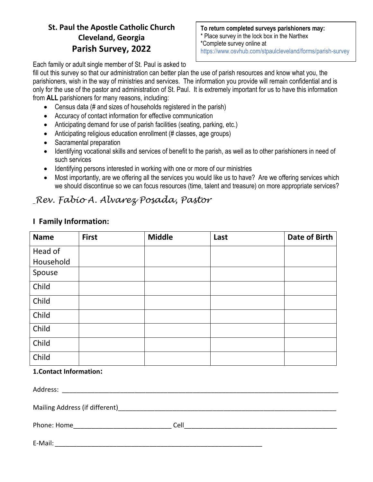## **St. Paul the Apostle Catholic Church Cleveland, Georgia Parish Survey, 2022**

**To return completed surveys parishioners may:** \* Place survey in the lock box in the Narthex \*Complete survey online at https://www.osvhub.com/stpaulcleveland/forms/parish-survey

Each family or adult single member of St. Paul is asked to

fill out this survey so that our administration can better plan the use of parish resources and know what you, the parishioners, wish in the way of ministries and services. The information you provide will remain confidential and is only for the use of the pastor and administration of St. Paul. It is extremely important for us to have this information from **ALL** parishioners for many reasons, including:

- Census data (# and sizes of households registered in the parish)
- Accuracy of contact information for effective communication
- Anticipating demand for use of parish facilities (seating, parking, etc.)
- Anticipating religious education enrollment (# classes, age groups)
- Sacramental preparation
- Identifying vocational skills and services of benefit to the parish, as well as to other parishioners in need of such services
- Identifying persons interested in working with one or more of our ministries
- Most importantly, are we offering all the services you would like us to have? Are we offering services which we should discontinue so we can focus resources (time, talent and treasure) on more appropriate services?

# *Rev. Fabio A. Alvarez Posada, Pastor*

| <b>Name</b> | <b>First</b> | <b>Middle</b> | Last | <b>Date of Birth</b> |
|-------------|--------------|---------------|------|----------------------|
| Head of     |              |               |      |                      |
| Household   |              |               |      |                      |
| Spouse      |              |               |      |                      |
| Child       |              |               |      |                      |
| Child       |              |               |      |                      |
| Child       |              |               |      |                      |
| Child       |              |               |      |                      |
| Child       |              |               |      |                      |
| Child       |              |               |      |                      |

#### **I Family Information:**

#### **1.Contact Information:**

| Address:                       |      |  |
|--------------------------------|------|--|
| Mailing Address (if different) |      |  |
| Phone: Home                    | Cell |  |
|                                |      |  |

E-Mail:  $\blacksquare$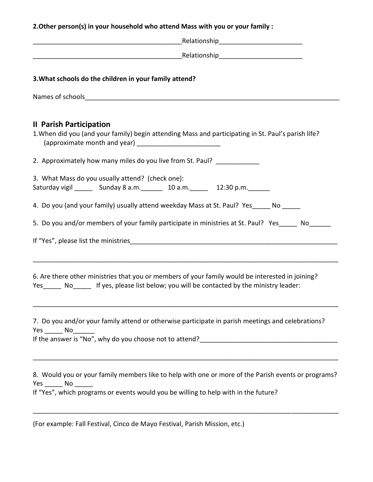**2.Other person(s) in your household who attend Mass with you or your family :**

| 3. What schools do the children in your family attend?                                                                                                                                                             |
|--------------------------------------------------------------------------------------------------------------------------------------------------------------------------------------------------------------------|
|                                                                                                                                                                                                                    |
| <b>Il Parish Participation</b><br>1. When did you (and your family) begin attending Mass and participating in St. Paul's parish life?                                                                              |
| 2. Approximately how many miles do you live from St. Paul? ____________                                                                                                                                            |
| 3. What Mass do you usually attend? (check one):<br>Saturday vigil _________ Sunday 8 a.m. _________ 10 a.m. _______ 12:30 p.m. ______                                                                             |
| 4. Do you (and your family) usually attend weekday Mass at St. Paul? Yes_____ No _____                                                                                                                             |
| 5. Do you and/or members of your family participate in ministries at St. Paul? Yes _____ No______                                                                                                                  |
|                                                                                                                                                                                                                    |
| 6. Are there other ministries that you or members of your family would be interested in joining?<br>Yes_______ No_______ If yes, please list below; you will be contacted by the ministry leader:                  |
| 7. Do you and/or your family attend or otherwise participate in parish meetings and celebrations?<br>$Yes \_ No \_$                                                                                                |
| 8. Would you or your family members like to help with one or more of the Parish events or programs?<br>$Yes$ No $\_\_\_\_\$<br>If "Yes", which programs or events would you be willing to help with in the future? |

\_\_\_\_\_\_\_\_\_\_\_\_\_\_\_\_\_\_\_\_\_\_\_\_\_\_\_\_\_\_\_\_\_\_\_\_\_\_\_\_\_\_\_\_\_\_\_\_\_\_\_\_\_\_\_\_\_\_\_\_\_\_\_\_\_\_\_\_\_\_\_\_\_\_\_\_\_\_\_\_\_\_\_\_

(For example: Fall Festival, Cinco de Mayo Festival, Parish Mission, etc.)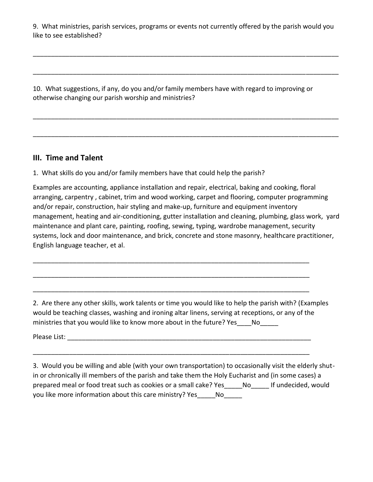9. What ministries, parish services, programs or events not currently offered by the parish would you like to see established?

\_\_\_\_\_\_\_\_\_\_\_\_\_\_\_\_\_\_\_\_\_\_\_\_\_\_\_\_\_\_\_\_\_\_\_\_\_\_\_\_\_\_\_\_\_\_\_\_\_\_\_\_\_\_\_\_\_\_\_\_\_\_\_\_\_\_\_\_\_\_\_\_\_\_\_\_\_\_\_\_\_\_\_\_

\_\_\_\_\_\_\_\_\_\_\_\_\_\_\_\_\_\_\_\_\_\_\_\_\_\_\_\_\_\_\_\_\_\_\_\_\_\_\_\_\_\_\_\_\_\_\_\_\_\_\_\_\_\_\_\_\_\_\_\_\_\_\_\_\_\_\_\_\_\_\_\_\_\_\_\_\_\_\_\_\_\_\_\_

\_\_\_\_\_\_\_\_\_\_\_\_\_\_\_\_\_\_\_\_\_\_\_\_\_\_\_\_\_\_\_\_\_\_\_\_\_\_\_\_\_\_\_\_\_\_\_\_\_\_\_\_\_\_\_\_\_\_\_\_\_\_\_\_\_\_\_\_\_\_\_\_\_\_\_\_\_\_\_\_\_\_\_\_

\_\_\_\_\_\_\_\_\_\_\_\_\_\_\_\_\_\_\_\_\_\_\_\_\_\_\_\_\_\_\_\_\_\_\_\_\_\_\_\_\_\_\_\_\_\_\_\_\_\_\_\_\_\_\_\_\_\_\_\_\_\_\_\_\_\_\_\_\_\_\_\_\_\_\_\_\_\_\_\_\_\_\_\_

10. What suggestions, if any, do you and/or family members have with regard to improving or otherwise changing our parish worship and ministries?

#### **III. Time and Talent**

1. What skills do you and/or family members have that could help the parish?

Examples are accounting, appliance installation and repair, electrical, baking and cooking, floral arranging, carpentry , cabinet, trim and wood working, carpet and flooring, computer programming and/or repair, construction, hair styling and make-up, furniture and equipment inventory management, heating and air-conditioning, gutter installation and cleaning, plumbing, glass work, yard maintenance and plant care, painting, roofing, sewing, typing, wardrobe management, security systems, lock and door maintenance, and brick, concrete and stone masonry, healthcare practitioner, English language teacher, et al.

2. Are there any other skills, work talents or time you would like to help the parish with? (Examples would be teaching classes, washing and ironing altar linens, serving at receptions, or any of the ministries that you would like to know more about in the future? Yes \_\_\_\_No

\_\_\_\_\_\_\_\_\_\_\_\_\_\_\_\_\_\_\_\_\_\_\_\_\_\_\_\_\_\_\_\_\_\_\_\_\_\_\_\_\_\_\_\_\_\_\_\_\_\_\_\_\_\_\_\_\_\_\_\_\_\_\_\_\_\_\_\_\_\_\_\_\_\_\_\_

\_\_\_\_\_\_\_\_\_\_\_\_\_\_\_\_\_\_\_\_\_\_\_\_\_\_\_\_\_\_\_\_\_\_\_\_\_\_\_\_\_\_\_\_\_\_\_\_\_\_\_\_\_\_\_\_\_\_\_\_\_\_\_\_\_\_\_\_\_\_\_\_\_\_\_\_

\_\_\_\_\_\_\_\_\_\_\_\_\_\_\_\_\_\_\_\_\_\_\_\_\_\_\_\_\_\_\_\_\_\_\_\_\_\_\_\_\_\_\_\_\_\_\_\_\_\_\_\_\_\_\_\_\_\_\_\_\_\_\_\_\_\_\_\_\_\_\_\_\_\_\_\_

\_\_\_\_\_\_\_\_\_\_\_\_\_\_\_\_\_\_\_\_\_\_\_\_\_\_\_\_\_\_\_\_\_\_\_\_\_\_\_\_\_\_\_\_\_\_\_\_\_\_\_\_\_\_\_\_\_\_\_\_\_\_\_\_\_\_\_\_\_\_\_\_\_\_\_\_

Please List: **Example 2018** 

3. Would you be willing and able (with your own transportation) to occasionally visit the elderly shutin or chronically ill members of the parish and take them the Holy Eucharist and (in some cases) a prepared meal or food treat such as cookies or a small cake? Yes Mo Figundecided, would you like more information about this care ministry? Yes \_\_\_\_\_No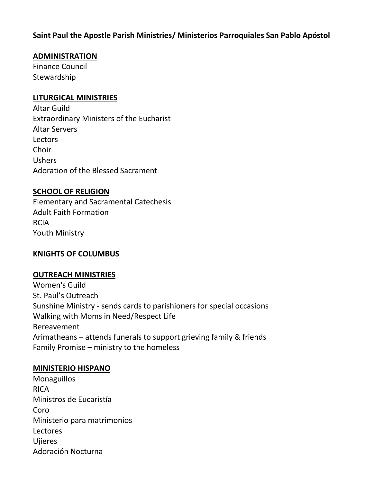## **Saint Paul the Apostle Parish Ministries/ Ministerios Parroquiales San Pablo Apóstol**

#### **ADMINISTRATION**

Finance Council **Stewardship** 

#### **LITURGICAL MINISTRIES**

Altar Guild Extraordinary Ministers of the Eucharist Altar Servers Lectors Choir Ushers Adoration of the Blessed Sacrament

#### **SCHOOL OF RELIGION**

Elementary and Sacramental Catechesis Adult Faith Formation RCIA Youth Ministry

## **KNIGHTS OF COLUMBUS**

#### **OUTREACH MINISTRIES**

Women's Guild St. Paul's Outreach Sunshine Ministry - sends cards to parishioners for special occasions Walking with Moms in Need/Respect Life Bereavement Arimatheans – attends funerals to support grieving family & friends Family Promise – ministry to the homeless

#### **MINISTERIO HISPANO**

**Monaguillos** RICA Ministros de Eucaristía Coro Ministerio para matrimonios Lectores Ujieres Adoración Nocturna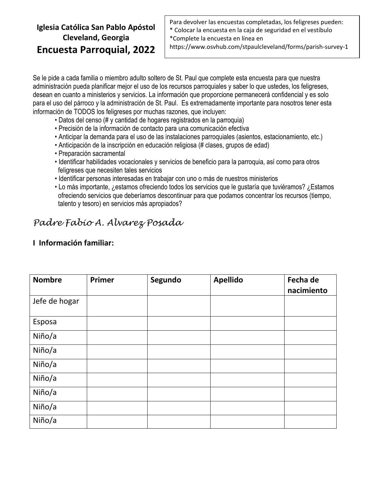## **Iglesia Católica San Pablo Apóstol Cleveland, Georgia Encuesta Parroquial, 2022**

Para devolver las encuestas completadas, los feligreses pueden: \* Colocar la encuesta en la caja de seguridad en el vestíbulo \*Complete la encuesta en línea en

https://www.osvhub.com/stpaulcleveland/forms/parish-survey-1

Se le pide a cada familia o miembro adulto soltero de St. Paul que complete esta encuesta para que nuestra administración pueda planificar mejor el uso de los recursos parroquiales y saber lo que ustedes, los feligreses, desean en cuanto a ministerios y servicios. La información que proporcione permanecerá confidencial y es solo para el uso del párroco y la administración de St. Paul. Es extremadamente importante para nosotros tener esta información de TODOS los feligreses por muchas razones, que incluyen:

- Datos del censo (# y cantidad de hogares registrados en la parroquia)
- Precisión de la información de contacto para una comunicación efectiva
- Anticipar la demanda para el uso de las instalaciones parroquiales (asientos, estacionamiento, etc.)
- Anticipación de la inscripción en educación religiosa (# clases, grupos de edad)
- Preparación sacramental
- Identificar habilidades vocacionales y servicios de beneficio para la parroquia, así como para otros feligreses que necesiten tales servicios
- Identificar personas interesadas en trabajar con uno o más de nuestros ministerios
- Lo más importante, ¿estamos ofreciendo todos los servicios que le gustaría que tuviéramos? ¿Estamos ofreciendo servicios que deberíamos descontinuar para que podamos concentrar los recursos (tiempo, talento y tesoro) en servicios más apropiados?

# *Padre Fabio A. Alvarez Posada*

| <b>Nombre</b> | Primer | Segundo | <b>Apellido</b> | Fecha de<br>nacimiento |
|---------------|--------|---------|-----------------|------------------------|
| Jefe de hogar |        |         |                 |                        |
| Esposa        |        |         |                 |                        |
| Niño/a        |        |         |                 |                        |
| Niño/a        |        |         |                 |                        |
| Niño/a        |        |         |                 |                        |
| Niño/a        |        |         |                 |                        |
| Niño/a        |        |         |                 |                        |
| Niño/a        |        |         |                 |                        |
| Niño/a        |        |         |                 |                        |

#### **I Información familiar:**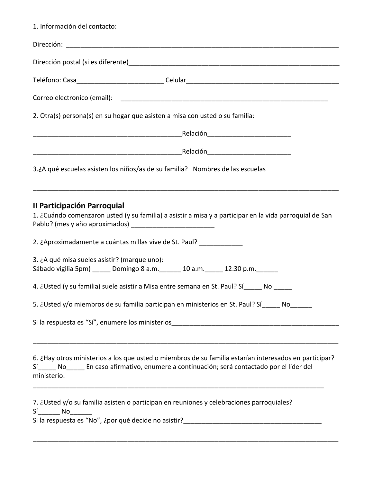| 1. Información del contacto:                                                                                                                                                                                                                                           |  |
|------------------------------------------------------------------------------------------------------------------------------------------------------------------------------------------------------------------------------------------------------------------------|--|
|                                                                                                                                                                                                                                                                        |  |
|                                                                                                                                                                                                                                                                        |  |
|                                                                                                                                                                                                                                                                        |  |
|                                                                                                                                                                                                                                                                        |  |
| 2. Otra(s) persona(s) en su hogar que asisten a misa con usted o su familia:                                                                                                                                                                                           |  |
|                                                                                                                                                                                                                                                                        |  |
|                                                                                                                                                                                                                                                                        |  |
| 3.¿A qué escuelas asisten los niños/as de su familia? Nombres de las escuelas                                                                                                                                                                                          |  |
| <u> 1989 - Johann Harry Harry Harry Harry Harry Harry Harry Harry Harry Harry Harry Harry Harry Harry Harry Harry</u><br><b>Il Participación Parroquial</b><br>1. ¿Cuándo comenzaron usted (y su familia) a asistir a misa y a participar en la vida parroquial de San |  |
| 2. ¿Aproximadamente a cuántas millas vive de St. Paul? _____________                                                                                                                                                                                                   |  |
| 3. ¿A qué misa sueles asistir? (marque uno):<br>Sábado vigilia 5pm) _____ Domingo 8 a.m. ______ 10 a.m. _____ 12:30 p.m. ______                                                                                                                                        |  |
| 4. ¿Usted (y su familia) suele asistir a Misa entre semana en St. Paul? Sí_____ No _____                                                                                                                                                                               |  |
| 5. ¿Usted y/o miembros de su familia participan en ministerios en St. Paul? Sí_____ No______                                                                                                                                                                           |  |
|                                                                                                                                                                                                                                                                        |  |
| 6. ¿Hay otros ministerios a los que usted o miembros de su familia estarían interesados en participar?<br>Sí____ No____ En caso afirmativo, enumere a continuación; será contactado por el líder del<br>ministerio:                                                    |  |
| 7. ¿Usted y/o su familia asisten o participan en reuniones y celebraciones parroquiales?<br>$Si$ No $\Box$                                                                                                                                                             |  |